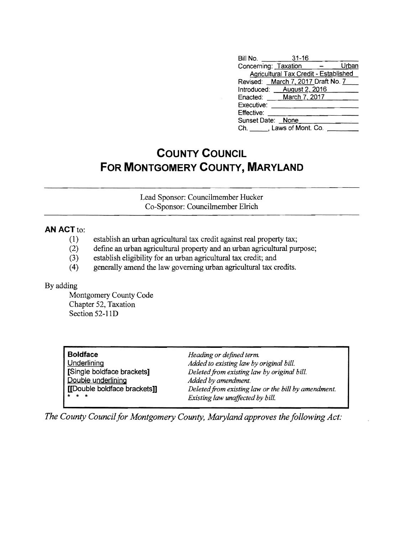| Bill No. <b>Example</b><br>$31 - 16$                       |
|------------------------------------------------------------|
| Concerning: Taxation<br>Urban<br><b>Contract Community</b> |
| <b>Agricultural Tax Credit - Established</b>               |
| Revised: March 7, 2017 Draft No. 7                         |
| Introduced: __August 2, 2016                               |
| Enacted: March 7, 2017                                     |
| Executive:                                                 |
| Effective:                                                 |
| Sunset Date: None                                          |
| Ch. J. Laws of Mont. Co.                                   |

## **COUNTY COUNCIL FOR MONTGOMERY COUNTY, MARYLAND**

Lead Sponsor: Councilmember Hucker Co-Sponsor: Councilmember EIrich

## **AN ACT to:**

- (1) establish an urban agricultural tax credit against real property tax;
- (2) defme an urban agricultural property and an urban agricultural purpose;
- (3) establish eligibility for an urban agricultural tax credit; and
- (4) generally amend the law governing urban agricultural tax credits.

## By adding

Montgomery County Code Chapter 52, Taxation Section 52-110

| <b>Boldface</b>              | Heading or defined term.                            |
|------------------------------|-----------------------------------------------------|
| Underlining                  | Added to existing law by original bill.             |
| [Single boldface brackets]   | Deleted from existing law by original bill.         |
| Double underlining           | Added by amendment.                                 |
| [[Double boldface brackets]] | Deleted from existing law or the bill by amendment. |
| * * *                        | Existing law unaffected by bill.                    |
|                              |                                                     |

*The County Council for Montgomery County, Maryland approves the following Act:*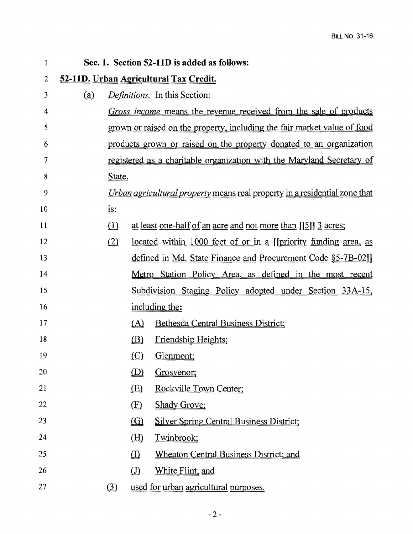| $\mathbf{1}$   |     |            |                                                         | Sec. 1. Section 52-11D is added as follows:                                       |
|----------------|-----|------------|---------------------------------------------------------|-----------------------------------------------------------------------------------|
| $\overline{2}$ |     |            |                                                         | 52-11D. Urban Agricultural Tax Credit.                                            |
| 3              | (a) |            |                                                         | <i>Definitions.</i> In this Section:                                              |
| 4              |     |            |                                                         | Gross income means the revenue received from the sale of products                 |
| 5              |     |            |                                                         | grown or raised on the property, including the fair market value of food          |
| 6              |     |            |                                                         | products grown or raised on the property donated to an organization               |
| 7              |     |            |                                                         | registered as a charitable organization with the Maryland Secretary of            |
| 8              |     | State.     |                                                         |                                                                                   |
| 9              |     |            |                                                         | <i>Urban agricultural property</i> means real property in a residential zone that |
| 10             |     | <u>is:</u> |                                                         |                                                                                   |
| 11             |     | $\Omega$   |                                                         | at least one-half of an acre and not more than [[5]] 3 acres;                     |
| 12             |     | (2)        |                                                         | located within 1000 feet of or in a [[priority funding area, as                   |
| 13             |     |            |                                                         | defined in Md. State Finance and Procurement Code §5-7B-02]                       |
| 14             |     |            |                                                         | <u>Metro Station Policy Area, as defined in the most recent</u>                   |
| 15             |     |            |                                                         | Subdivision Staging Policy adopted under Section 33A-15,                          |
| 16             |     |            |                                                         | including the:                                                                    |
| 17             |     |            | (A)                                                     | Bethesda Central Business District;                                               |
| 18             |     |            | (B)                                                     | Friendship Heights;                                                               |
| 19             |     |            | $\circ$                                                 | Glenmont;                                                                         |
| 20             |     |            | $\left(\!\!\left(\textrm{\textbf{D}}\!\!\right)\right)$ | Grosvenor;                                                                        |
| 21             |     |            | (E)                                                     | Rockville Town Center;                                                            |
| 22             |     |            | $\mathbf{E}$                                            | <b>Shady Grove;</b>                                                               |
| 23             |     |            | $\Omega$                                                | <b>Silver Spring Central Business District;</b>                                   |
| 24             |     |            | $\underline{\text{H}}$                                  | Twinbrook;                                                                        |
| 25             |     |            | $\hbox{\rlap{$\sqcap$}$\sqcup$}$                        | <b>Wheaton Central Business District; and</b>                                     |
| 26             |     |            | $\hbox{\rlap{$\sqcup$}$\sqcup$}$                        | White Flint; and                                                                  |
| 27             |     | (3)        |                                                         | used for urban agricultural purposes.                                             |

 $\mathbb{R}^d$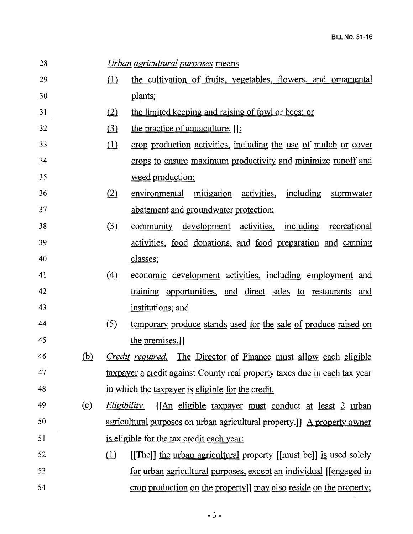$\sim 10^{-10}$ 

| 28 |          |                               | <i><u><b>Urban agricultural purposes means</b></u></i>                             |
|----|----------|-------------------------------|------------------------------------------------------------------------------------|
| 29 |          | (1)                           | the cultivation of fruits, vegetables, flowers, and ornamental                     |
| 30 |          |                               | plants;                                                                            |
| 31 |          | (2)                           | the limited keeping and raising of fowl or bees; or                                |
| 32 |          | $\left( \underline{3}\right)$ | the practice of aquaculture. [[                                                    |
| 33 |          | $\Box$                        | crop production activities, including the use of mulch or cover                    |
| 34 |          |                               | crops to ensure maximum productivity and minimize runoff and                       |
| 35 |          |                               | weed production;                                                                   |
| 36 |          | (2)                           | environmental mitigation activities, including stormwater                          |
| 37 |          |                               | abatement and groundwater protection;                                              |
| 38 |          | $\circled{3}$                 | community development activities, including recreational                           |
| 39 |          |                               | activities, food donations, and food preparation and canning                       |
| 40 |          |                               | classes;                                                                           |
| 41 |          | (4)                           | economic development activities, including employment and                          |
| 42 |          |                               | training opportunities, and direct sales to restaurants and                        |
| 43 |          |                               | institutions; and                                                                  |
| 44 |          | (5)                           | temporary produce stands used for the sale of produce raised on                    |
| 45 |          |                               | the premises.]                                                                     |
| 46 | (b)      |                               | <i>Credit required.</i> The Director of Finance must allow each eligible           |
| 47 |          |                               | taxpayer a credit against County real property taxes due in each tax year          |
| 48 |          |                               | in which the taxpayer is eligible for the credit.                                  |
| 49 | $\Omega$ |                               | <i>Eligibility.</i><br><u>[[An eligible taxpayer must conduct at least 2 urban</u> |
| 50 |          |                               | agricultural purposes on urban agricultural property.] A property owner            |
| 51 |          |                               | is eligible for the tax credit each year:                                          |
| 52 |          | $\Box$                        | [[The]] the urban agricultural property [[must be]] is used solely                 |
| 53 |          |                               | <u>for urban agricultural purposes, except an individual [lengaged in</u>          |
| 54 |          |                               | crop production on the property]] may also reside on the property;                 |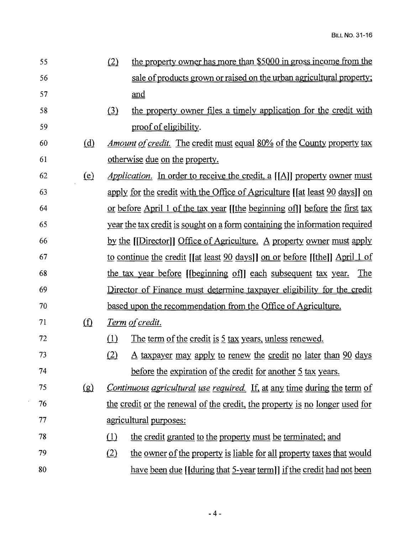| 55 |                            | (2) | the property owner has more than \$5000 in gross income from the                  |
|----|----------------------------|-----|-----------------------------------------------------------------------------------|
| 56 |                            |     | sale of products grown or raised on the urban agricultural property;              |
| 57 |                            |     | and                                                                               |
| 58 |                            | (3) | the property owner files a timely application for the credit with                 |
| 59 |                            |     | proof of eligibility.                                                             |
| 60 | (d)                        |     | <u>Amount of credit. The credit must equal 80% of the County property tax</u>     |
| 61 |                            |     | <u>otherwise due on the property.</u>                                             |
| 62 | (e)                        |     | <i>Application.</i> In order to receive the credit, a $[[A]]$ property owner must |
| 63 |                            |     | apply for the credit with the Office of Agriculture [[at least 90 days]] on       |
| 64 |                            |     | or before April 1 of the tax year [[the beginning of]] before the first tax       |
| 65 |                            |     | year the tax credit is sought on a form containing the information required       |
| 66 |                            |     | by the [Director]] Office of Agriculture. A property owner must apply             |
| 67 |                            |     | to continue the credit [[at least 90 days]] on or before [[the]] April 1 of       |
| 68 |                            |     | the tax year before [[beginning of]] each subsequent tax year.<br>The             |
| 69 |                            |     | Director of Finance must determine taxpayer eligibility for the credit            |
| 70 |                            |     | based upon the recommendation from the Office of Agriculture.                     |
| 71 | $\textcircled{f}$          |     | <u>Term of credit.</u>                                                            |
| 72 |                            | (1) | The term of the credit is 5 tax years, unless renewed.                            |
| 73 |                            | (2) | A taxpayer may apply to renew the credit no later than 90 days                    |
| 74 |                            |     | before the expiration of the credit for another 5 tax years.                      |
| 75 | $\left( \mathbf{g}\right)$ |     | <u>Continuous agricultural use required. If, at any time during the term of</u>   |
| 76 |                            |     | the credit or the renewal of the credit, the property is no longer used for       |
| 77 |                            |     | agricultural purposes:                                                            |
| 78 |                            | (1) | the credit granted to the property must be terminated; and                        |
| 79 |                            | (2) | the owner of the property is liable for all property taxes that would             |
| 80 |                            |     | have been due [[during that 5-year term]] if the credit had not been              |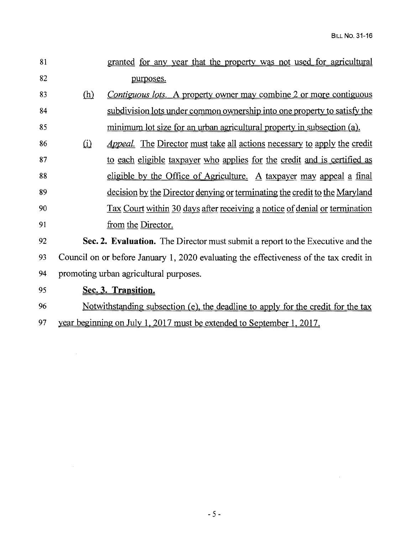$\mathcal{L}^{\text{max}}_{\text{max}}$ 

| 81 |            | granted for any year that the property was not used for agricultural                    |
|----|------------|-----------------------------------------------------------------------------------------|
| 82 |            | purposes.                                                                               |
| 83 | <u>(h)</u> | <i>Contiguous lots.</i> A property owner may combine 2 or more contiguous               |
| 84 |            | subdivision lots under common ownership into one property to satisfy the                |
| 85 |            | minimum lot size for an urban agricultural property in subsection (a).                  |
| 86 | $\Omega$   | <u>Appeal. The Director must take all actions necessary to apply the credit</u>         |
| 87 |            | to each eligible taxpayer who applies for the credit and is certified as                |
| 88 |            | eligible by the Office of Agriculture. A taxpayer may appeal a final                    |
| 89 |            | decision by the Director denying or terminating the credit to the Maryland              |
| 90 |            | Tax Court within 30 days after receiving a notice of denial or termination              |
| 91 |            | from the Director.                                                                      |
| 92 |            | Sec. 2. Evaluation. The Director must submit a report to the Executive and the          |
| 93 |            | Council on or before January 1, 2020 evaluating the effectiveness of the tax credit in  |
| 94 |            | promoting urban agricultural purposes.                                                  |
| 95 |            | Sec. 3. Transition.                                                                     |
| 96 |            | <u>Notwithstanding subsection (e), the deadline to apply for the credit for the tax</u> |
| 97 |            | year beginning on July 1, 2017 must be extended to September 1, 2017.                   |